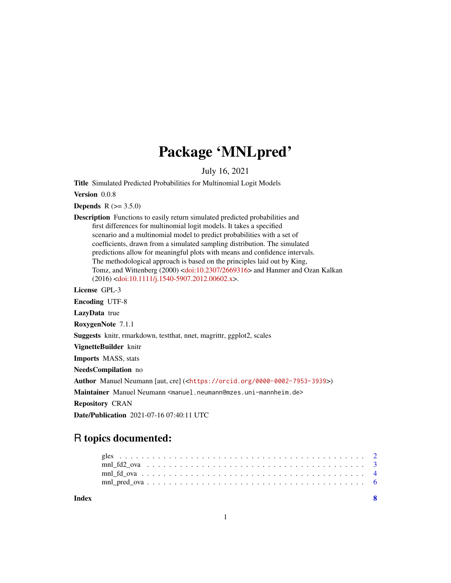## Package 'MNLpred'

July 16, 2021

<span id="page-0-0"></span>Title Simulated Predicted Probabilities for Multinomial Logit Models

Version 0.0.8

**Depends**  $R (= 3.5.0)$ 

Description Functions to easily return simulated predicted probabilities and first differences for multinomial logit models. It takes a specified scenario and a multinomial model to predict probabilities with a set of coefficients, drawn from a simulated sampling distribution. The simulated predictions allow for meaningful plots with means and confidence intervals. The methodological approach is based on the principles laid out by King, Tomz, and Wittenberg (2000) [<doi:10.2307/2669316>](https://doi.org/10.2307/2669316) and Hanmer and Ozan Kalkan (2016) [<doi:10.1111/j.1540-5907.2012.00602.x>](https://doi.org/10.1111/j.1540-5907.2012.00602.x).

License GPL-3

Encoding UTF-8

LazyData true

RoxygenNote 7.1.1

Suggests knitr, rmarkdown, testthat, nnet, magrittr, ggplot2, scales

VignetteBuilder knitr

Imports MASS, stats

NeedsCompilation no

Author Manuel Neumann [aut, cre] (<<https://orcid.org/0000-0002-7953-3939>>)

Maintainer Manuel Neumann <manuel.neumann@mzes.uni-mannheim.de>

Repository CRAN

Date/Publication 2021-07-16 07:40:11 UTC

### R topics documented:

| Index |  |  |  |  |  |  |  |  |  |  |  |  |  |  |  |  |
|-------|--|--|--|--|--|--|--|--|--|--|--|--|--|--|--|--|
|       |  |  |  |  |  |  |  |  |  |  |  |  |  |  |  |  |
|       |  |  |  |  |  |  |  |  |  |  |  |  |  |  |  |  |
|       |  |  |  |  |  |  |  |  |  |  |  |  |  |  |  |  |
|       |  |  |  |  |  |  |  |  |  |  |  |  |  |  |  |  |

1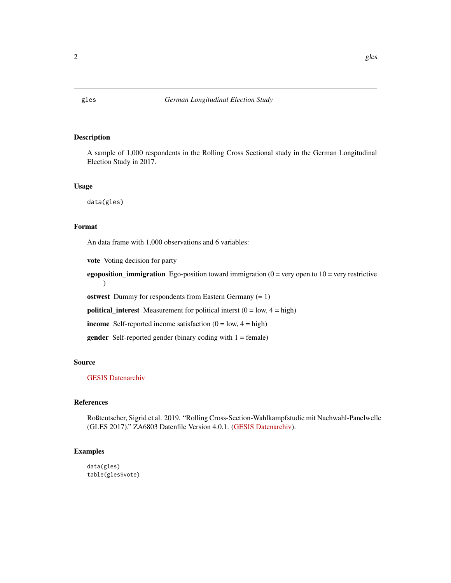#### Description

A sample of 1,000 respondents in the Rolling Cross Sectional study in the German Longitudinal Election Study in 2017.

#### Usage

data(gles)

#### Format

An data frame with 1,000 observations and 6 variables:

vote Voting decision for party

egoposition\_immigration Ego-position toward immigration  $(0 = \text{very open to } 10 = \text{very restrictive})$ )

ostwest Dummy for respondents from Eastern Germany  $(= 1)$ 

**political\_interest** Measurement for political interst  $(0 = low, 4 = high)$ 

income Self-reported income satisfaction  $(0 = low, 4 = high)$ 

**gender** Self-reported gender (binary coding with  $1 =$  female)

#### Source

#### [GESIS Datenarchiv](https://www.doi.org/10.4232/1.13213)

#### References

Roßteutscher, Sigrid et al. 2019. "Rolling Cross-Section-Wahlkampfstudie mit Nachwahl-Panelwelle (GLES 2017)." ZA6803 Datenfile Version 4.0.1. [\(GESIS Datenarchiv\)](https://www.doi.org/10.4232/1.13213).

#### Examples

data(gles) table(gles\$vote)

<span id="page-1-0"></span>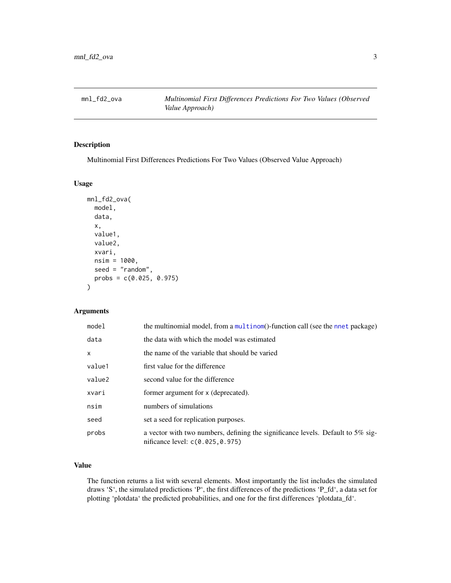<span id="page-2-0"></span>mnl\_fd2\_ova *Multinomial First Differences Predictions For Two Values (Observed Value Approach)*

#### Description

Multinomial First Differences Predictions For Two Values (Observed Value Approach)

#### Usage

```
mnl_fd2_ova(
  model,
  data,
  x,
  value1,
  value2,
  xvari,
  nsim = 1000,
  seed = "random",
  probs = c(0.025, 0.975)
\mathcal{E}
```
#### Arguments

| model  | the multinomial model, from a multinom()-function call (see the nnet package)                                      |
|--------|--------------------------------------------------------------------------------------------------------------------|
| data   | the data with which the model was estimated                                                                        |
| X      | the name of the variable that should be varied                                                                     |
| value1 | first value for the difference                                                                                     |
| value2 | second value for the difference                                                                                    |
| xvari  | former argument for x (deprecated).                                                                                |
| nsim   | numbers of simulations                                                                                             |
| seed   | set a seed for replication purposes.                                                                               |
| probs  | a vector with two numbers, defining the significance levels. Default to 5% sig-<br>nificance level: c(0.025,0.975) |

#### Value

The function returns a list with several elements. Most importantly the list includes the simulated draws 'S', the simulated predictions 'P', the first differences of the predictions 'P\_fd', a data set for plotting 'plotdata' the predicted probabilities, and one for the first differences 'plotdata\_fd'.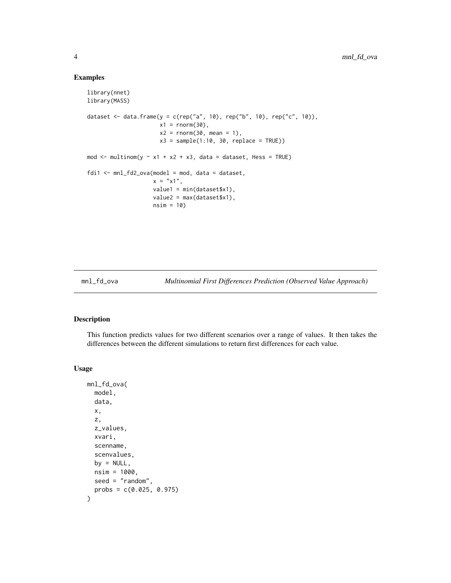#### Examples

```
library(nnet)
library(MASS)
dataset <- data.frame(y = c(rep("a", 10), rep("b", 10), rep("c", 10)),
                      x1 = \text{norm}(30),
                      x2 = rnorm(30, mean = 1),x3 = sample(1:10, 30, replace = TRUE))mod \le multinom(y \le x1 + x2 + x3, data = dataset, Hess = TRUE)
fdi1 \leq mnl_fd2_ova(model = mod, data = dataset,x = "x1",value1 = min(dataset$x1),
                    value2 = max(dataset$x1),
                    nsim = 10)
```
mnl\_fd\_ova *Multinomial First Differences Prediction (Observed Value Approach)*

#### Description

This function predicts values for two different scenarios over a range of values. It then takes the differences between the different simulations to return first differences for each value.

#### Usage

```
mnl_fd_ova(
  model,
  data,
  x,
  z,
  z_values,
  xvari,
  scenname,
  scenvalues,
 by = NULL,
 nsim = 1000,
  seed = "random",
  probs = c(0.025, 0.975))
```
<span id="page-3-0"></span>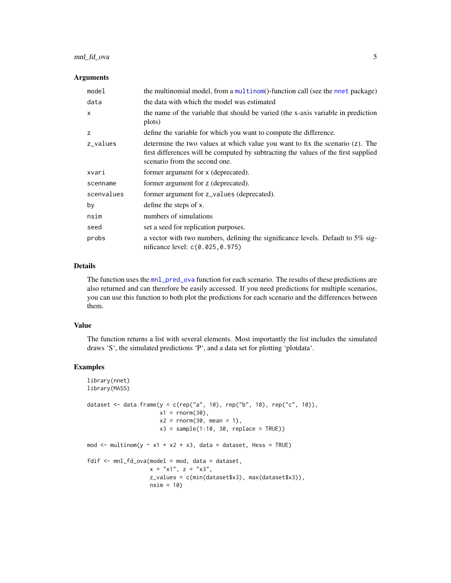#### <span id="page-4-0"></span>mnl\_fd\_ova 5

#### **Arguments**

| model        | the multinomial model, from a multinom()-function call (see the nnet package)                                                                                                                        |
|--------------|------------------------------------------------------------------------------------------------------------------------------------------------------------------------------------------------------|
| data         | the data with which the model was estimated                                                                                                                                                          |
| $\mathsf{x}$ | the name of the variable that should be varied (the x-axis variable in prediction<br>plots)                                                                                                          |
| z            | define the variable for which you want to compute the difference.                                                                                                                                    |
| z_values     | determine the two values at which value you want to fix the scenario (z). The<br>first differences will be computed by subtracting the values of the first supplied<br>scenario from the second one. |
| xvari        | former argument for x (deprecated).                                                                                                                                                                  |
| scenname     | former argument for z (deprecated).                                                                                                                                                                  |
| scenvalues   | former argument for z_values (deprecated).                                                                                                                                                           |
| by           | define the steps of x.                                                                                                                                                                               |
| nsim         | numbers of simulations                                                                                                                                                                               |
| seed         | set a seed for replication purposes.                                                                                                                                                                 |
| probs        | a vector with two numbers, defining the significance levels. Default to 5% sig-<br>nificance level: c(0.025,0.975)                                                                                   |

#### Details

The function uses the [mnl\\_pred\\_ova](#page-5-1) function for each scenario. The results of these predictions are also returned and can therefore be easily accessed. If you need predictions for multiple scenarios, you can use this function to both plot the predictions for each scenario and the differences between them.

#### Value

The function returns a list with several elements. Most importantly the list includes the simulated draws 'S', the simulated predictions 'P', and a data set for plotting 'plotdata'.

#### Examples

```
library(nnet)
library(MASS)
dataset <- data.frame(y = c(rep("a", 10), rep("b", 10), rep("c", 10)),
                      x1 = \text{norm}(30),
                      x2 = rnorm(30, mean = 1),x3 = sample(1:10, 30, replace = TRUE))mod \le multinom(y \sim x1 + x2 + x3, data = dataset, Hess = TRUE)
fdif <- mnl_fd_ova(model = mod, data = dataset,
                   x = "x1", z = "x3",z_values = c(min(dataset$x3), max(dataset$x3)),
                   nsim = 10)
```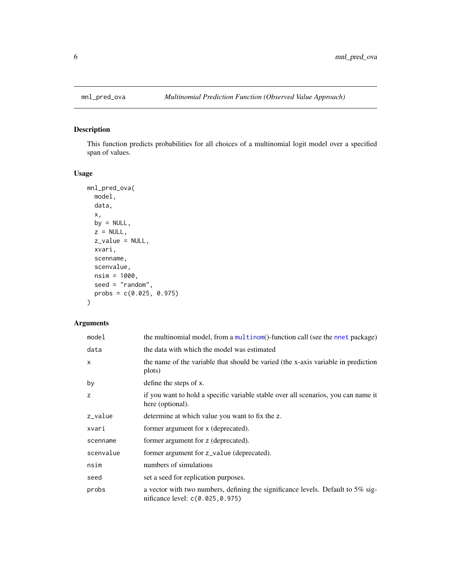<span id="page-5-1"></span><span id="page-5-0"></span>

#### Description

This function predicts probabilities for all choices of a multinomial logit model over a specified span of values.

#### Usage

```
mnl_pred_ova(
 model,
 data,
 x,
 by = NULL,
 z = NULL,z_value = NULL,
 xvari,
 scenname,
  scenvalue,
 nsim = 1000,
 seed = "random",
 probs = c(0.025, 0.975)
)
```
#### Arguments

| model        | the multinomial model, from a multinom()-function call (see the nnet package)                                      |
|--------------|--------------------------------------------------------------------------------------------------------------------|
| data         | the data with which the model was estimated                                                                        |
| $\mathsf{x}$ | the name of the variable that should be varied (the x-axis variable in prediction<br>plots)                        |
| by           | define the steps of x.                                                                                             |
| z            | if you want to hold a specific variable stable over all scenarios, you can name it<br>here (optional).             |
| z_value      | determine at which value you want to fix the z.                                                                    |
| xvari        | former argument for x (deprecated).                                                                                |
| scenname     | former argument for z (deprecated).                                                                                |
| scenvalue    | former argument for z_value (deprecated).                                                                          |
| nsim         | numbers of simulations                                                                                             |
| seed         | set a seed for replication purposes.                                                                               |
| probs        | a vector with two numbers, defining the significance levels. Default to 5% sig-<br>nificance level: c(0.025,0.975) |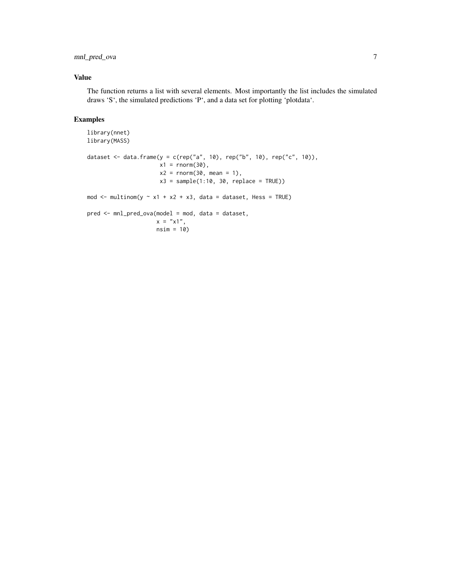#### mnl\_pred\_ova 7

#### Value

The function returns a list with several elements. Most importantly the list includes the simulated draws 'S', the simulated predictions 'P', and a data set for plotting 'plotdata'.

#### Examples

```
library(nnet)
library(MASS)
dataset <- data.frame(y = c(rep("a", 10), rep("b", 10), rep("c", 10)),
                      x1 = \text{norm}(30),
                      x2 = rnorm(30, mean = 1),x3 = sample(1:10, 30, replace = TRUE))mod \le multinom(y \sim x1 + x2 + x3, data = dataset, Hess = TRUE)
pred <- mnl_pred_ova(model = mod, data = dataset,
                     x = "x1",nsim = 10)
```